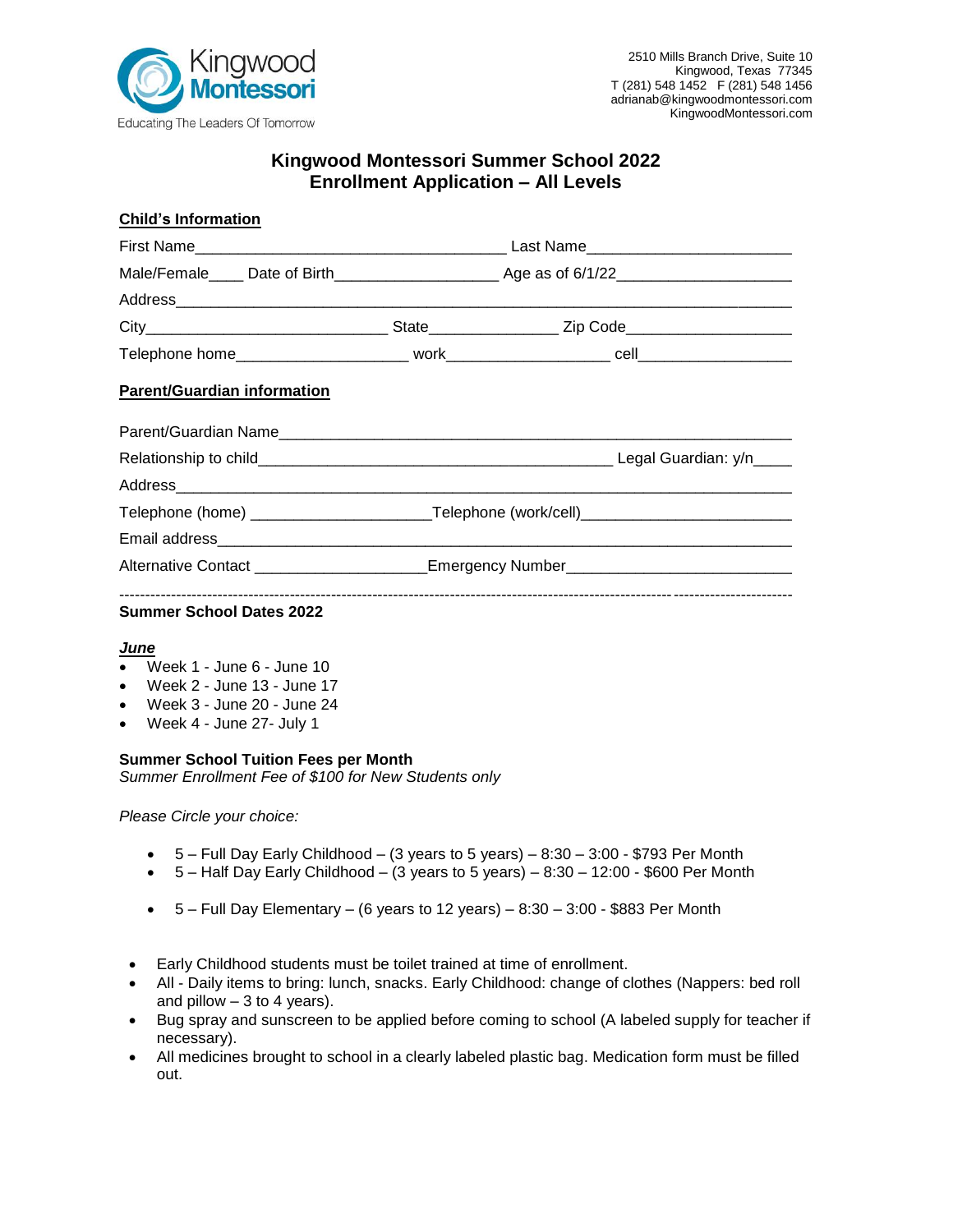

## **Kingwood Montessori Summer School 2022 Enrollment Application – All Levels**

| <b>Child's Information</b>         |                                                                                  |  |  |
|------------------------------------|----------------------------------------------------------------------------------|--|--|
|                                    |                                                                                  |  |  |
|                                    |                                                                                  |  |  |
|                                    |                                                                                  |  |  |
|                                    |                                                                                  |  |  |
|                                    |                                                                                  |  |  |
| <b>Parent/Guardian information</b> |                                                                                  |  |  |
|                                    |                                                                                  |  |  |
|                                    |                                                                                  |  |  |
|                                    |                                                                                  |  |  |
|                                    |                                                                                  |  |  |
|                                    |                                                                                  |  |  |
|                                    | Alternative Contact _____________________Emergency Number_______________________ |  |  |
| <b>Summer School Dates 2022</b>    |                                                                                  |  |  |

## *June*

- Week 1 June 6 June 10
- Week 2 June 13 June 17
- Week 3 June 20 June 24
- Week 4 June 27- July 1

## **Summer School Tuition Fees per Month**

*Summer Enrollment Fee of \$100 for New Students only* 

*Please Circle your choice:*

- $\bullet$  5 Full Day Early Childhood (3 years to 5 years) 8:30 3:00 \$793 Per Month
- $\bullet$  5 Half Day Early Childhood (3 years to 5 years) 8:30 12:00 \$600 Per Month
- $\bullet$  5 Full Day Elementary (6 years to 12 years) 8:30 3:00 \$883 Per Month
- Early Childhood students must be toilet trained at time of enrollment.
- All Daily items to bring: lunch, snacks. Early Childhood: change of clothes (Nappers: bed roll and pillow  $-3$  to 4 years).
- Bug spray and sunscreen to be applied before coming to school (A labeled supply for teacher if necessary).
- All medicines brought to school in a clearly labeled plastic bag. Medication form must be filled out.